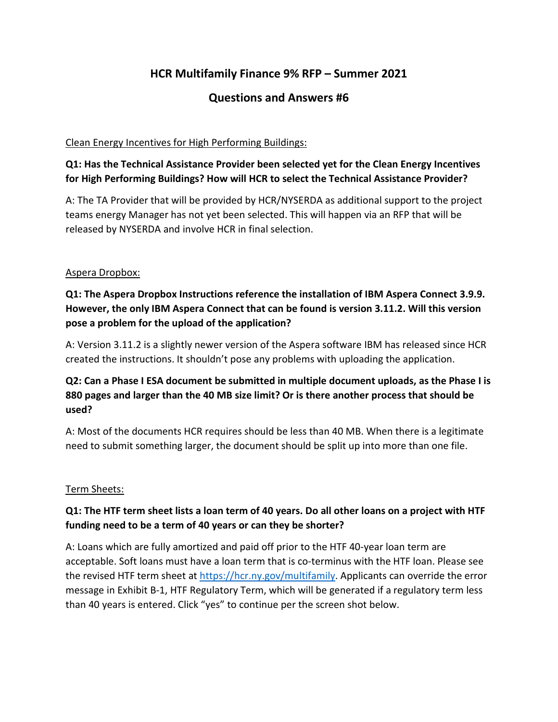# **HCR Multifamily Finance 9% RFP – Summer 2021**

## **Questions and Answers #6**

#### Clean Energy Incentives for High Performing Buildings:

### **Q1: Has the Technical Assistance Provider been selected yet for the Clean Energy Incentives for High Performing Buildings? How will HCR to select the Technical Assistance Provider?**

A: The TA Provider that will be provided by HCR/NYSERDA as additional support to the project teams energy Manager has not yet been selected. This will happen via an RFP that will be released by NYSERDA and involve HCR in final selection.

#### Aspera Dropbox:

**Q1: The Aspera Dropbox Instructions reference the installation of IBM Aspera Connect 3.9.9. However, the only IBM Aspera Connect that can be found is version 3.11.2. Will this version pose a problem for the upload of the application?**

A: Version 3.11.2 is a slightly newer version of the Aspera software IBM has released since HCR created the instructions. It shouldn't pose any problems with uploading the application.

### **Q2: Can a Phase I ESA document be submitted in multiple document uploads, as the Phase I is 880 pages and larger than the 40 MB size limit? Or is there another process that should be used?**

A: Most of the documents HCR requires should be less than 40 MB. When there is a legitimate need to submit something larger, the document should be split up into more than one file.

#### Term Sheets:

### **Q1: The HTF term sheet lists a loan term of 40 years. Do all other loans on a project with HTF funding need to be a term of 40 years or can they be shorter?**

A: Loans which are fully amortized and paid off prior to the HTF 40-year loan term are acceptable. Soft loans must have a loan term that is co-terminus with the HTF loan. Please see the revised HTF term sheet at [https://hcr.ny.gov/multifamily.](https://hcr.ny.gov/multifamily) Applicants can override the error message in Exhibit B-1, HTF Regulatory Term, which will be generated if a regulatory term less than 40 years is entered. Click "yes" to continue per the screen shot below.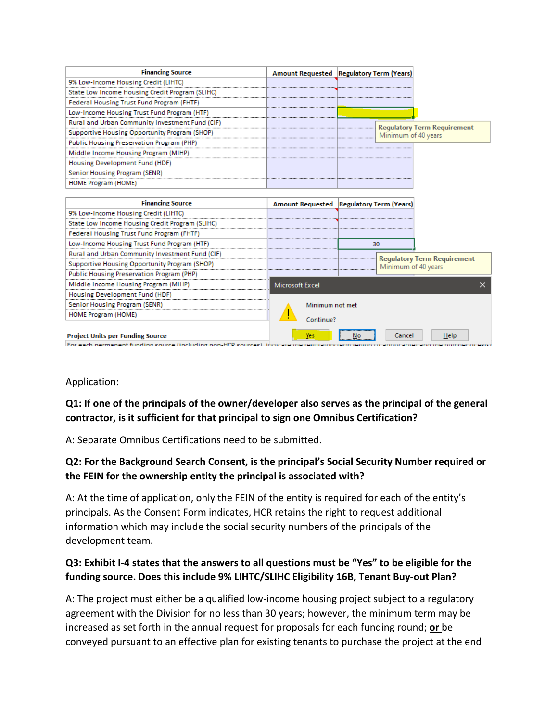| <b>Financing Source</b>                                                                                                       |                 | Amount Requested   Regulatory Term (Years)                |
|-------------------------------------------------------------------------------------------------------------------------------|-----------------|-----------------------------------------------------------|
| 9% Low-Income Housing Credit (LIHTC)                                                                                          |                 |                                                           |
| State Low Income Housing Credit Program (SLIHC)                                                                               |                 |                                                           |
| Federal Housing Trust Fund Program (FHTF)                                                                                     |                 |                                                           |
| Low-Income Housing Trust Fund Program (HTF)                                                                                   |                 |                                                           |
| Rural and Urban Community Investment Fund (CIF)                                                                               |                 |                                                           |
| Supportive Housing Opportunity Program (SHOP)                                                                                 |                 | <b>Requiatory Term Requirement</b><br>Minimum of 40 years |
| Public Housing Preservation Program (PHP)                                                                                     |                 |                                                           |
| Middle Income Housing Program (MIHP)                                                                                          |                 |                                                           |
| Housing Development Fund (HDF)                                                                                                |                 |                                                           |
| Senior Housing Program (SENR)                                                                                                 |                 |                                                           |
| HOME Program (HOME)                                                                                                           |                 |                                                           |
|                                                                                                                               |                 |                                                           |
| <b>Financing Source</b>                                                                                                       |                 | Amount Requested   Regulatory Term (Years)                |
| 9% Low-Income Housing Credit (LIHTC)                                                                                          |                 |                                                           |
| State Low Income Housing Credit Program (SLIHC)                                                                               |                 |                                                           |
| Federal Housing Trust Fund Program (FHTF)                                                                                     |                 |                                                           |
| Low-Income Housing Trust Fund Program (HTF)                                                                                   |                 | 30                                                        |
| Rural and Urban Community Investment Fund (CIF)                                                                               |                 |                                                           |
| Supportive Housing Opportunity Program (SHOP)                                                                                 |                 | <b>Regulatory Term Requirement</b><br>Minimum of 40 years |
| Public Housing Preservation Program (PHP)                                                                                     |                 |                                                           |
| Middle Income Housing Program (MIHP)                                                                                          | Microsoft Excel |                                                           |
| Housing Development Fund (HDF)                                                                                                |                 |                                                           |
| Senior Housing Program (SENR)                                                                                                 | Minimum not met |                                                           |
| <b>HOME Program (HOME)</b>                                                                                                    |                 |                                                           |
|                                                                                                                               | Continue?       |                                                           |
| <b>Project Units per Funding Source</b><br>For each normanent funding course (including non-HCP courses), $\lim_{n\to\infty}$ | Yes             | Cancel<br>Help<br>No                                      |

#### Application:

**Q1: If one of the principals of the owner/developer also serves as the principal of the general contractor, is it sufficient for that principal to sign one Omnibus Certification?** 

A: Separate Omnibus Certifications need to be submitted.

### **Q2: For the Background Search Consent, is the principal's Social Security Number required or the FEIN for the ownership entity the principal is associated with?**

A: At the time of application, only the FEIN of the entity is required for each of the entity's principals. As the Consent Form indicates, HCR retains the right to request additional information which may include the social security numbers of the principals of the development team.

### **Q3: Exhibit I-4 states that the answers to all questions must be "Yes" to be eligible for the funding source. Does this include 9% LIHTC/SLIHC Eligibility 16B, Tenant Buy-out Plan?**

A: The project must either be a qualified low-income housing project subject to a regulatory agreement with the Division for no less than 30 years; however, the minimum term may be increased as set forth in the annual request for proposals for each funding round; **or** be conveyed pursuant to an effective plan for existing tenants to purchase the project at the end